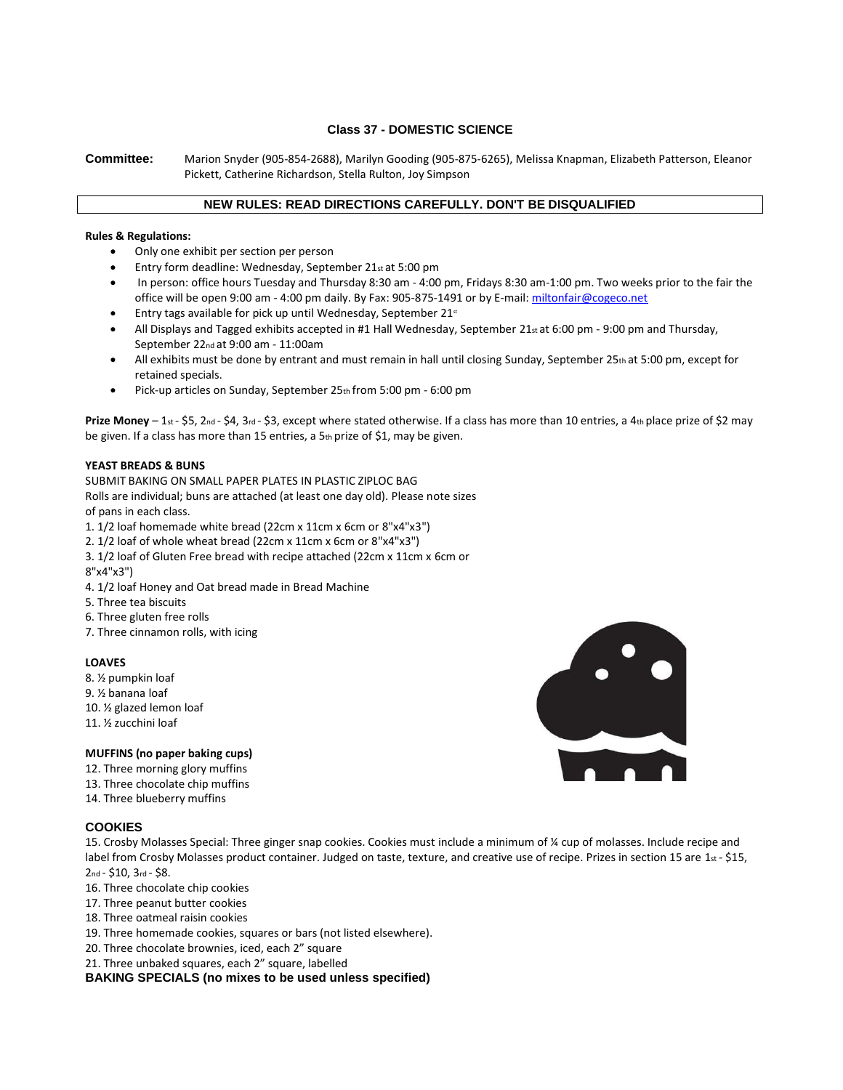# **Class 37 - DOMESTIC SCIENCE**

**Committee:** Marion Snyder (905-854-2688), Marilyn Gooding (905-875-6265), Melissa Knapman, Elizabeth Patterson, Eleanor Pickett, Catherine Richardson, Stella Rulton, Joy Simpson

# **NEW RULES: READ DIRECTIONS CAREFULLY. DON'T BE DISQUALIFIED**

#### **Rules & Regulations:**

- Only one exhibit per section per person
- Entry form deadline: Wednesday, September 21st at 5:00 pm
- In person: office hours Tuesday and Thursday 8:30 am 4:00 pm, Fridays 8:30 am-1:00 pm. Two weeks prior to the fair the office will be open 9:00 am - 4:00 pm daily. By Fax: 905-875-1491 or by E-mail[: miltonfair@cogeco.net](mailto:miltonfair@cogeco.net)
- Entry tags available for pick up until Wednesday, September  $21<sup>st</sup>$
- All Displays and Tagged exhibits accepted in #1 Hall Wednesday, September 21<sub>st</sub> at 6:00 pm 9:00 pm and Thursday, September 22nd at 9:00 am - 11:00am
- All exhibits must be done by entrant and must remain in hall until closing Sunday, September 25th at 5:00 pm, except for retained specials.
- Pick-up articles on Sunday, September 25th from 5:00 pm 6:00 pm

**Prize Money** – 1st - \$5, 2nd - \$4, 3rd - \$3, except where stated otherwise. If a class has more than 10 entries, a 4th place prize of \$2 may be given. If a class has more than 15 entries, a 5th prize of \$1, may be given.

### **YEAST BREADS & BUNS**

SUBMIT BAKING ON SMALL PAPER PLATES IN PLASTIC ZIPLOC BAG Rolls are individual; buns are attached (at least one day old). Please note sizes of pans in each class.

1. 1/2 loaf homemade white bread (22cm x 11cm x 6cm or 8"x4"x3")

2. 1/2 loaf of whole wheat bread (22cm x 11cm x 6cm or 8"x4"x3")

- 3. 1/2 loaf of Gluten Free bread with recipe attached (22cm x 11cm x 6cm or 8"x4"x3")
- 4. 1/2 loaf Honey and Oat bread made in Bread Machine
- 5. Three tea biscuits
- 6. Three gluten free rolls
- 7. Three cinnamon rolls, with icing

### **LOAVES**

- 8. ½ pumpkin loaf
- 9. ½ banana loaf
- 10. ½ glazed lemon loaf
- 11. ½ zucchini loaf

### **MUFFINS (no paper baking cups)**

- 12. Three morning glory muffins
- 13. Three chocolate chip muffins
- 14. Three blueberry muffins

# **COOKIES**

15. Crosby Molasses Special: Three ginger snap cookies. Cookies must include a minimum of ¼ cup of molasses. Include recipe and label from Crosby Molasses product container. Judged on taste, texture, and creative use of recipe. Prizes in section 15 are 1st - \$15, 2nd - \$10, 3rd - \$8.

- 16. Three chocolate chip cookies
- 17. Three peanut butter cookies
- 18. Three oatmeal raisin cookies
- 19. Three homemade cookies, squares or bars (not listed elsewhere).
- 20. Three chocolate brownies, iced, each 2" square
- 21. Three unbaked squares, each 2" square, labelled

**BAKING SPECIALS (no mixes to be used unless specified)**

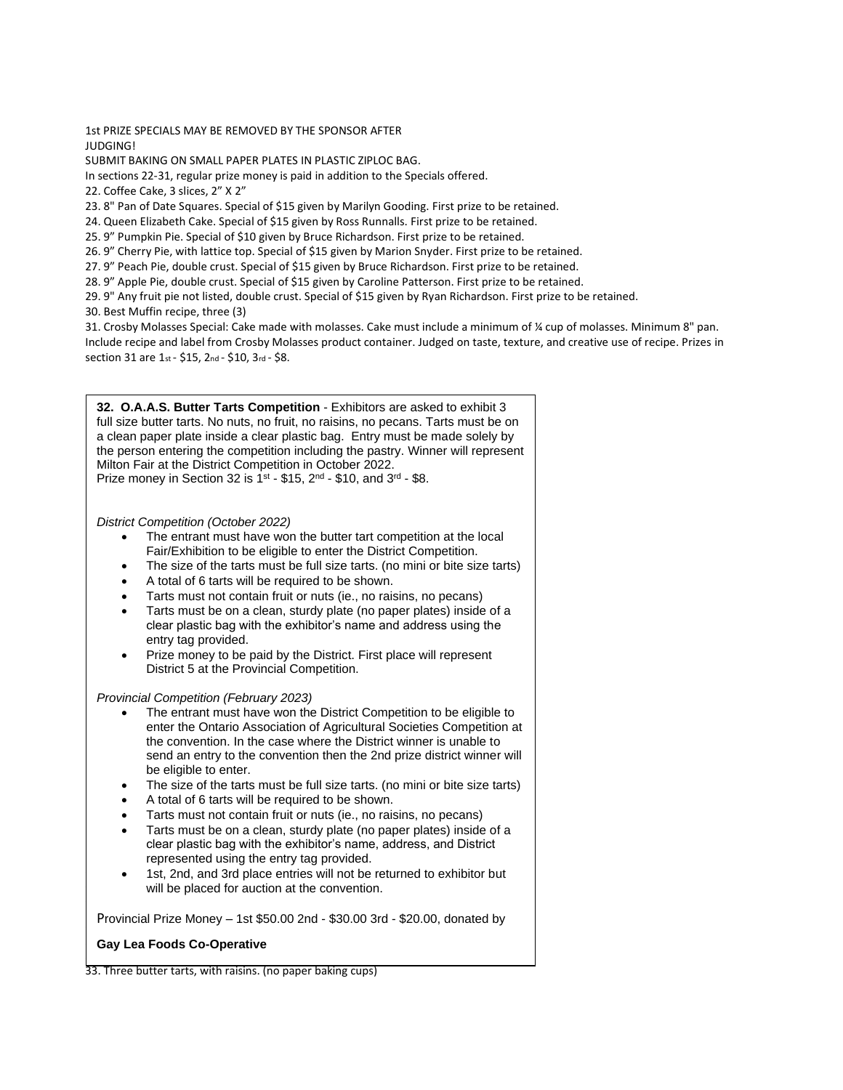1st PRIZE SPECIALS MAY BE REMOVED BY THE SPONSOR AFTER JUDGING!

SUBMIT BAKING ON SMALL PAPER PLATES IN PLASTIC ZIPLOC BAG.

In sections 22-31, regular prize money is paid in addition to the Specials offered.

22. Coffee Cake, 3 slices, 2" X 2"

23. 8" Pan of Date Squares. Special of \$15 given by Marilyn Gooding. First prize to be retained.

24. Queen Elizabeth Cake. Special of \$15 given by Ross Runnalls. First prize to be retained.

25. 9" Pumpkin Pie. Special of \$10 given by Bruce Richardson. First prize to be retained.

26. 9" Cherry Pie, with lattice top. Special of \$15 given by Marion Snyder. First prize to be retained.

27. 9" Peach Pie, double crust. Special of \$15 given by Bruce Richardson. First prize to be retained.

28. 9" Apple Pie, double crust. Special of \$15 given by Caroline Patterson. First prize to be retained.

29. 9" Any fruit pie not listed, double crust. Special of \$15 given by Ryan Richardson. First prize to be retained.

30. Best Muffin recipe, three (3)

31. Crosby Molasses Special: Cake made with molasses. Cake must include a minimum of ¼ cup of molasses. Minimum 8" pan. Include recipe and label from Crosby Molasses product container. Judged on taste, texture, and creative use of recipe. Prizes in section 31 are 1st - \$15, 2nd - \$10, 3rd - \$8.

**32. O.A.A.S. Butter Tarts Competition** - Exhibitors are asked to exhibit 3 full size butter tarts. No nuts, no fruit, no raisins, no pecans. Tarts must be on a clean paper plate inside a clear plastic bag. Entry must be made solely by the person entering the competition including the pastry. Winner will represent Milton Fair at the District Competition in October 2022. Prize money in Section 32 is  $1^{st}$  - \$15,  $2^{nd}$  - \$10, and  $3^{rd}$  - \$8.

*District Competition (October 2022)*

- The entrant must have won the butter tart competition at the local Fair/Exhibition to be eligible to enter the District Competition.
- The size of the tarts must be full size tarts. (no mini or bite size tarts)
- A total of 6 tarts will be required to be shown.
- Tarts must not contain fruit or nuts (ie., no raisins, no pecans)
- Tarts must be on a clean, sturdy plate (no paper plates) inside of a clear plastic bag with the exhibitor's name and address using the entry tag provided.
- Prize money to be paid by the District. First place will represent District 5 at the Provincial Competition.

### *Provincial Competition (February 2023)*

- The entrant must have won the District Competition to be eligible to enter the Ontario Association of Agricultural Societies Competition at the convention. In the case where the District winner is unable to send an entry to the convention then the 2nd prize district winner will be eligible to enter.
- The size of the tarts must be full size tarts. (no mini or bite size tarts)
- A total of 6 tarts will be required to be shown.
- Tarts must not contain fruit or nuts (ie., no raisins, no pecans)
- Tarts must be on a clean, sturdy plate (no paper plates) inside of a clear plastic bag with the exhibitor's name, address, and District represented using the entry tag provided.
- 1st, 2nd, and 3rd place entries will not be returned to exhibitor but will be placed for auction at the convention. 35. Three pumpkin tarts. no paper baking cups)

Provincial Prize Money – 1st \$50.00 2nd - \$30.00 3rd - \$20.00, donated by

#### **Gay Lea Foods Co-Operative** 37. Three pieces Peanut Brittle

33. Three butter tarts, with raisins. (no paper baking cups)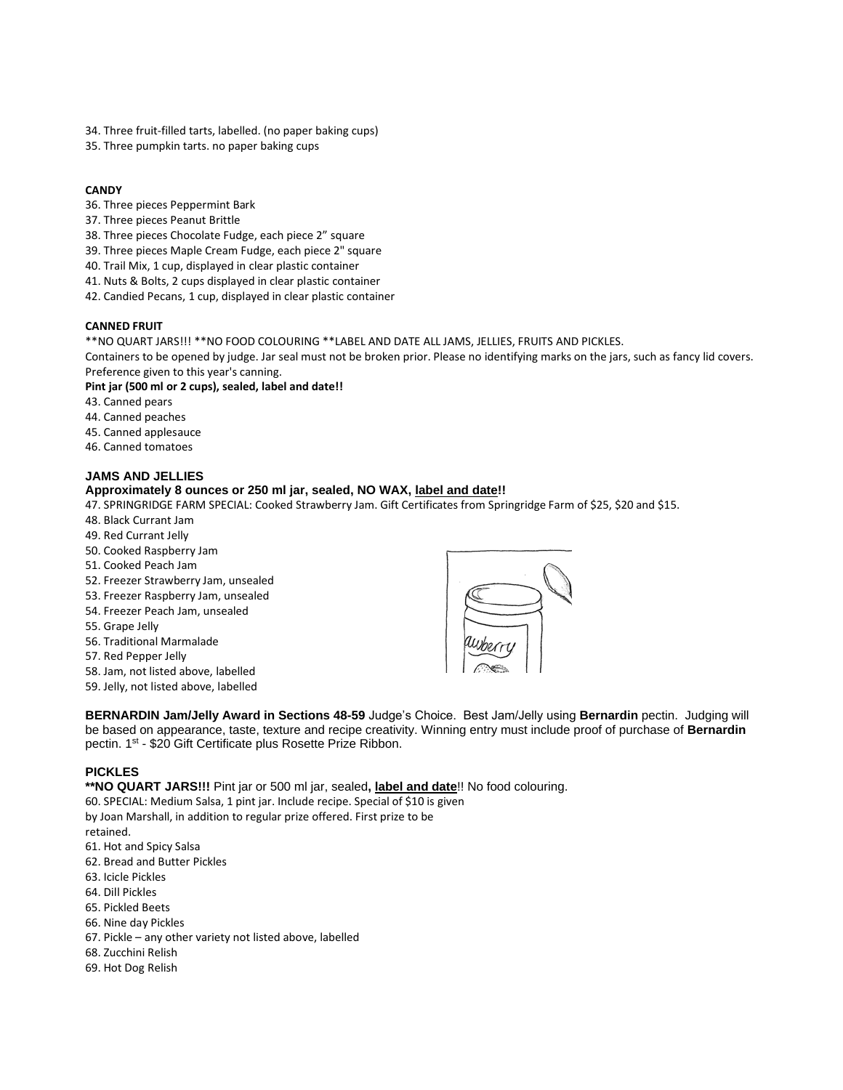- 34. Three fruit-filled tarts, labelled. (no paper baking cups)
- 35. Three pumpkin tarts. no paper baking cups

### **CANDY**

- 36. Three pieces Peppermint Bark
- 37. Three pieces Peanut Brittle
- 38. Three pieces Chocolate Fudge, each piece 2" square
- 39. Three pieces Maple Cream Fudge, each piece 2" square
- 40. Trail Mix, 1 cup, displayed in clear plastic container
- 41. Nuts & Bolts, 2 cups displayed in clear plastic container
- 42. Candied Pecans, 1 cup, displayed in clear plastic container

### **CANNED FRUIT**

\*\*NO QUART JARS!!! \*\*NO FOOD COLOURING \*\*LABEL AND DATE ALL JAMS, JELLIES, FRUITS AND PICKLES.

Containers to be opened by judge. Jar seal must not be broken prior. Please no identifying marks on the jars, such as fancy lid covers. Preference given to this year's canning.

### **Pint jar (500 ml or 2 cups), sealed, label and date!!**

- 43. Canned pears
- 44. Canned peaches
- 45. Canned applesauce
- 46. Canned tomatoes

# **JAMS AND JELLIES**

### **Approximately 8 ounces or 250 ml jar, sealed, NO WAX, label and date!!**

47. SPRINGRIDGE FARM SPECIAL: Cooked Strawberry Jam. Gift Certificates from Springridge Farm of \$25, \$20 and \$15.

- 48. Black Currant Jam
- 49. Red Currant Jelly
- 50. Cooked Raspberry Jam
- 51. Cooked Peach Jam
- 52. Freezer Strawberry Jam, unsealed
- 53. Freezer Raspberry Jam, unsealed
- 54. Freezer Peach Jam, unsealed
- 55. Grape Jelly
- 56. Traditional Marmalade
- 57. Red Pepper Jelly
- 58. Jam, not listed above, labelled
- 59. Jelly, not listed above, labelled



**BERNARDIN Jam/Jelly Award in Sections 48-59** Judge's Choice. Best Jam/Jelly using **Bernardin** pectin. Judging will be based on appearance, taste, texture and recipe creativity. Winning entry must include proof of purchase of **Bernardin** pectin. 1<sup>st</sup> - \$20 Gift Certificate plus Rosette Prize Ribbon.

# **PICKLES**

**\*\*NO QUART JARS!!!** Pint jar or 500 ml jar, sealed**, label and date**!! No food colouring.

60. SPECIAL: Medium Salsa, 1 pint jar. Include recipe. Special of \$10 is given by Joan Marshall, in addition to regular prize offered. First prize to be

retained.

- 61. Hot and Spicy Salsa
- 62. Bread and Butter Pickles
- 63. Icicle Pickles
- 64. Dill Pickles
- 65. Pickled Beets
- 66. Nine day Pickles
- 67. Pickle any other variety not listed above, labelled
- 68. Zucchini Relish
- 69. Hot Dog Relish